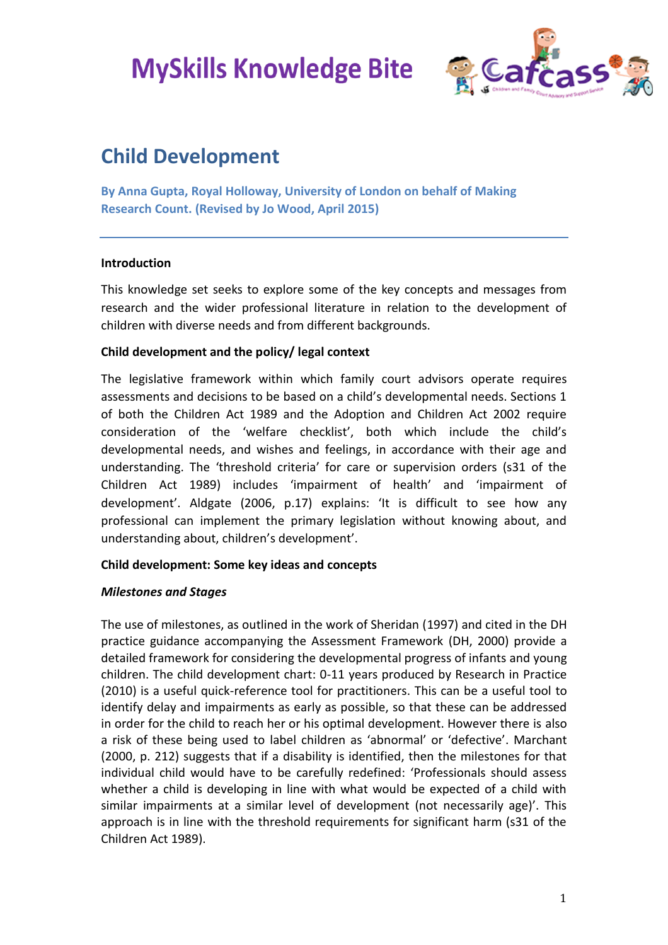

# **Child Development**

**By Anna Gupta, Royal Holloway, University of London on behalf of Making Research Count. (Revised by Jo Wood, April 2015)**

### **Introduction**

This knowledge set seeks to explore some of the key concepts and messages from research and the wider professional literature in relation to the development of children with diverse needs and from different backgrounds.

### **Child development and the policy/ legal context**

The legislative framework within which family court advisors operate requires assessments and decisions to be based on a child's developmental needs. Sections 1 of both the Children Act 1989 and the Adoption and Children Act 2002 require consideration of the 'welfare checklist', both which include the child's developmental needs, and wishes and feelings, in accordance with their age and understanding. The 'threshold criteria' for care or supervision orders (s31 of the Children Act 1989) includes 'impairment of health' and 'impairment of development'. Aldgate (2006, p.17) explains: 'It is difficult to see how any professional can implement the primary legislation without knowing about, and understanding about, children's development'.

### **Child development: Some key ideas and concepts**

### *Milestones and Stages*

The use of milestones, as outlined in the work of Sheridan (1997) and cited in the DH practice guidance accompanying the Assessment Framework (DH, 2000) provide a detailed framework for considering the developmental progress of infants and young children. The child development chart: 0-11 years produced by Research in Practice (2010) is a useful quick-reference tool for practitioners. This can be a useful tool to identify delay and impairments as early as possible, so that these can be addressed in order for the child to reach her or his optimal development. However there is also a risk of these being used to label children as 'abnormal' or 'defective'. Marchant (2000, p. 212) suggests that if a disability is identified, then the milestones for that individual child would have to be carefully redefined: 'Professionals should assess whether a child is developing in line with what would be expected of a child with similar impairments at a similar level of development (not necessarily age)'. This approach is in line with the threshold requirements for significant harm (s31 of the Children Act 1989).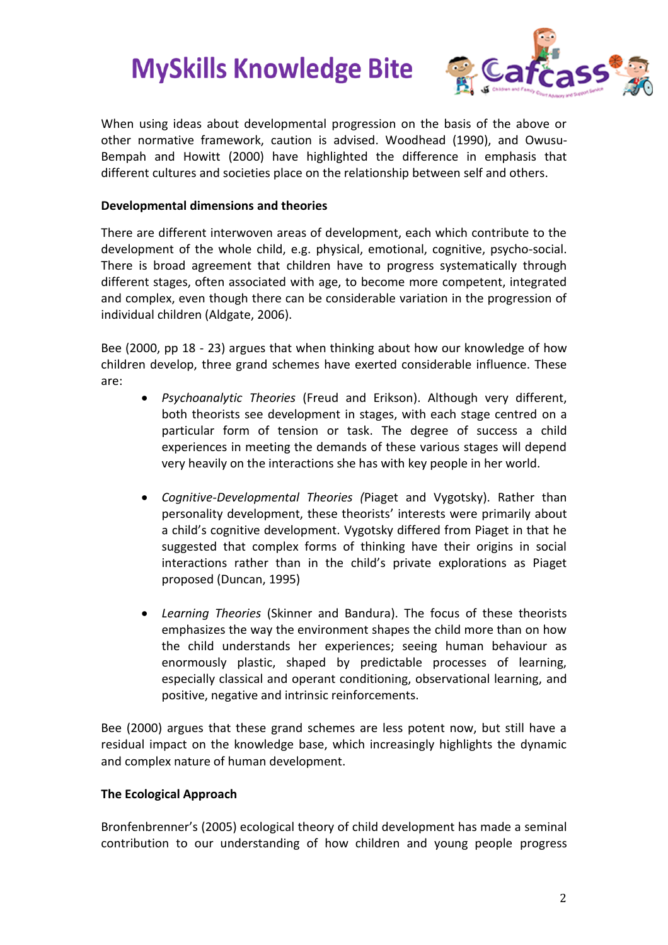

When using ideas about developmental progression on the basis of the above or other normative framework, caution is advised. Woodhead (1990), and Owusu-Bempah and Howitt (2000) have highlighted the difference in emphasis that different cultures and societies place on the relationship between self and others.

## **Developmental dimensions and theories**

There are different interwoven areas of development, each which contribute to the development of the whole child, e.g. physical, emotional, cognitive, psycho-social. There is broad agreement that children have to progress systematically through different stages, often associated with age, to become more competent, integrated and complex, even though there can be considerable variation in the progression of individual children (Aldgate, 2006).

Bee (2000, pp 18 - 23) argues that when thinking about how our knowledge of how children develop, three grand schemes have exerted considerable influence. These are:

- *Psychoanalytic Theories* (Freud and Erikson). Although very different, both theorists see development in stages, with each stage centred on a particular form of tension or task. The degree of success a child experiences in meeting the demands of these various stages will depend very heavily on the interactions she has with key people in her world.
- *Cognitive-Developmental Theories (*Piaget and Vygotsky). Rather than personality development, these theorists' interests were primarily about a child's cognitive development. Vygotsky differed from Piaget in that he suggested that complex forms of thinking have their origins in social interactions rather than in the child's private explorations as Piaget proposed (Duncan, 1995)
- *Learning Theories* (Skinner and Bandura). The focus of these theorists emphasizes the way the environment shapes the child more than on how the child understands her experiences; seeing human behaviour as enormously plastic, shaped by predictable processes of learning, especially classical and operant conditioning, observational learning, and positive, negative and intrinsic reinforcements.

Bee (2000) argues that these grand schemes are less potent now, but still have a residual impact on the knowledge base, which increasingly highlights the dynamic and complex nature of human development.

# **The Ecological Approach**

Bronfenbrenner's (2005) ecological theory of child development has made a seminal contribution to our understanding of how children and young people progress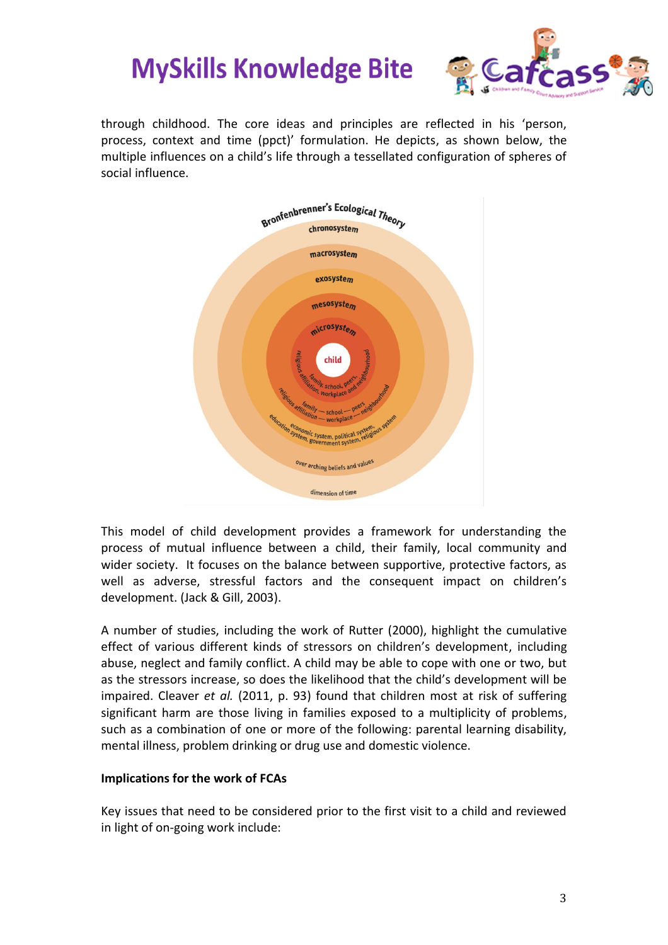

through childhood. The core ideas and principles are reflected in his 'person, process, context and time (ppct)' formulation. He depicts, as shown below, the multiple influences on a child's life through a tessellated configuration of spheres of social influence.



This model of child development provides a framework for understanding the process of mutual influence between a child, their family, local community and wider society. It focuses on the balance between supportive, protective factors, as well as adverse, stressful factors and the consequent impact on children's development. (Jack & Gill, 2003).

A number of studies, including the work of Rutter (2000), highlight the cumulative effect of various different kinds of stressors on children's development, including abuse, neglect and family conflict. A child may be able to cope with one or two, but as the stressors increase, so does the likelihood that the child's development will be impaired. Cleaver *et al.* (2011, p. 93) found that children most at risk of suffering significant harm are those living in families exposed to a multiplicity of problems, such as a combination of one or more of the following: parental learning disability, mental illness, problem drinking or drug use and domestic violence.

### **Implications for the work of FCAs**

Key issues that need to be considered prior to the first visit to a child and reviewed in light of on-going work include: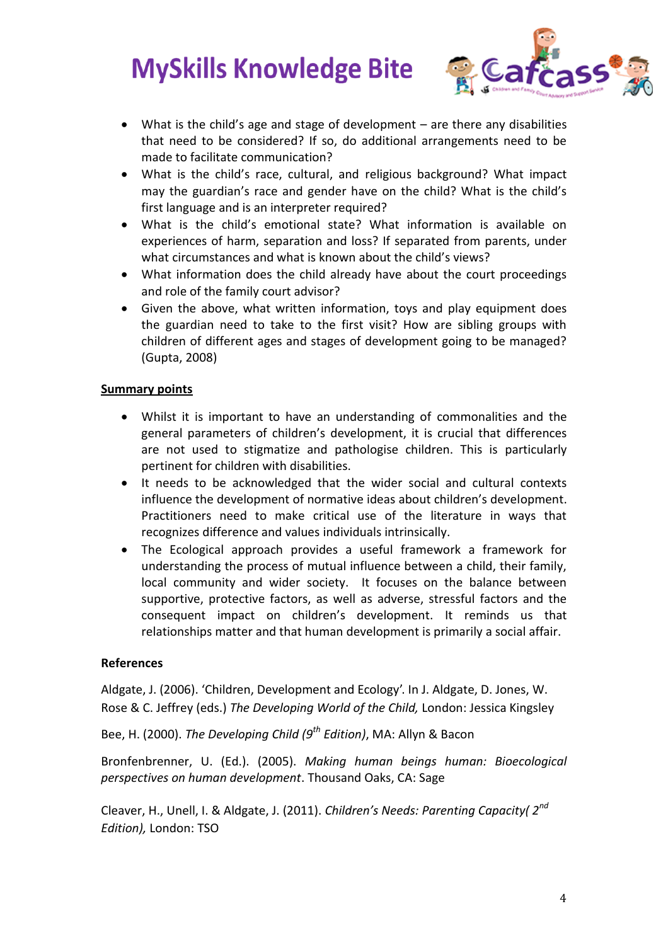

- What is the child's age and stage of development are there any disabilities that need to be considered? If so, do additional arrangements need to be made to facilitate communication?
- What is the child's race, cultural, and religious background? What impact may the guardian's race and gender have on the child? What is the child's first language and is an interpreter required?
- What is the child's emotional state? What information is available on experiences of harm, separation and loss? If separated from parents, under what circumstances and what is known about the child's views?
- What information does the child already have about the court proceedings and role of the family court advisor?
- Given the above, what written information, toys and play equipment does the guardian need to take to the first visit? How are sibling groups with children of different ages and stages of development going to be managed? (Gupta, 2008)

## **Summary points**

- Whilst it is important to have an understanding of commonalities and the general parameters of children's development, it is crucial that differences are not used to stigmatize and pathologise children. This is particularly pertinent for children with disabilities.
- It needs to be acknowledged that the wider social and cultural contexts influence the development of normative ideas about children's development. Practitioners need to make critical use of the literature in ways that recognizes difference and values individuals intrinsically.
- The Ecological approach provides a useful framework a framework for understanding the process of mutual influence between a child, their family, local community and wider society. It focuses on the balance between supportive, protective factors, as well as adverse, stressful factors and the consequent impact on children's development. It reminds us that relationships matter and that human development is primarily a social affair.

### **References**

Aldgate, J. (2006). 'Children, Development and Ecology'. In J. Aldgate, D. Jones, W. Rose & C. Jeffrey (eds.) *The Developing World of the Child,* London: Jessica Kingsley

Bee, H. (2000). *The Developing Child (9th Edition)*, MA: Allyn & Bacon

Bronfenbrenner, U. (Ed.). (2005). *Making human beings human: Bioecological perspectives on human development*. Thousand Oaks, CA: Sage

Cleaver, H., Unell, I. & Aldgate, J. (2011). *Children's Needs: Parenting Capacity( 2nd Edition),* London: TSO